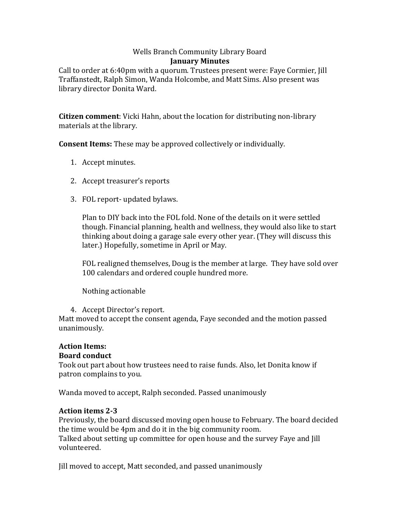#### Wells Branch Community Library Board **January Minutes**

Call to order at 6:40pm with a quorum. Trustees present were: Faye Cormier, Jill Traffanstedt, Ralph Simon, Wanda Holcombe, and Matt Sims. Also present was library director Donita Ward.

**Citizen comment**: Vicki Hahn, about the location for distributing non-library materials at the library.

**Consent Items:** These may be approved collectively or individually.

- 1. Accept minutes.
- 2. Accept treasurer's reports
- 3. FOL report- updated bylaws.

Plan to DIY back into the FOL fold. None of the details on it were settled though. Financial planning, health and wellness, they would also like to start thinking about doing a garage sale every other year. (They will discuss this later.) Hopefully, sometime in April or May.

FOL realigned themselves, Doug is the member at large. They have sold over 100 calendars and ordered couple hundred more.

Nothing actionable

4. Accept Director's report.

Matt moved to accept the consent agenda, Faye seconded and the motion passed unanimously.

# **Action Items:**

## **Board conduct**

Took out part about how trustees need to raise funds. Also, let Donita know if patron complains to you.

Wanda moved to accept, Ralph seconded. Passed unanimously

### **Action items 2-3**

Previously, the board discussed moving open house to February. The board decided the time would be 4pm and do it in the big community room. Talked about setting up committee for open house and the survey Faye and Jill volunteered.

Jill moved to accept, Matt seconded, and passed unanimously